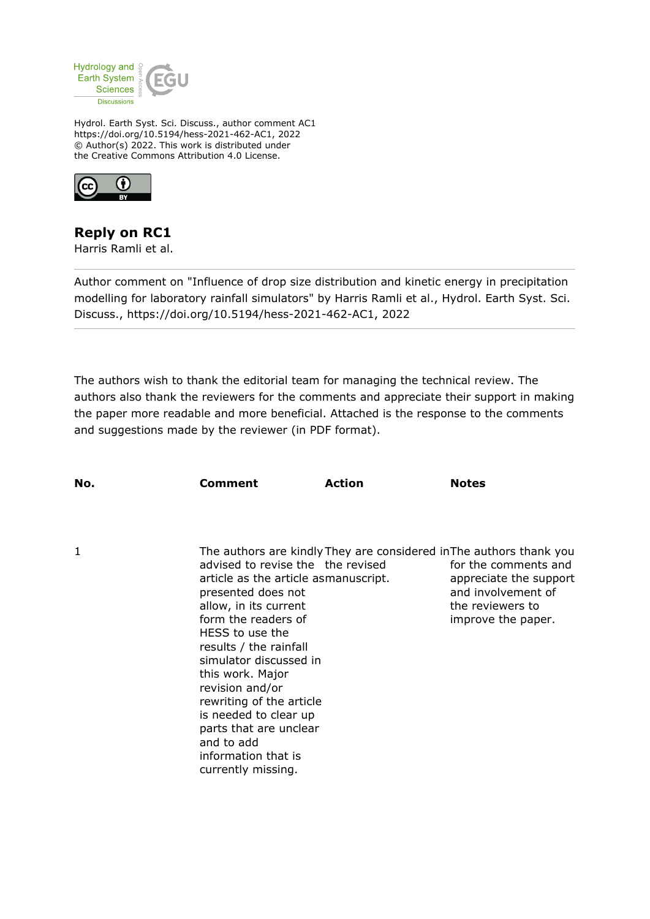

Hydrol. Earth Syst. Sci. Discuss., author comment AC1 https://doi.org/10.5194/hess-2021-462-AC1, 2022 © Author(s) 2022. This work is distributed under the Creative Commons Attribution 4.0 License.



## **Reply on RC1**

Harris Ramli et al.

Author comment on "Influence of drop size distribution and kinetic energy in precipitation modelling for laboratory rainfall simulators" by Harris Ramli et al., Hydrol. Earth Syst. Sci. Discuss., https://doi.org/10.5194/hess-2021-462-AC1, 2022

The authors wish to thank the editorial team for managing the technical review. The authors also thank the reviewers for the comments and appreciate their support in making the paper more readable and more beneficial. Attached is the response to the comments and suggestions made by the reviewer (in PDF format).

| No. | Comment                                                                                                                                                                                                                                                                                                                    | Action                                                                    | <b>Notes</b>                                                                                                                                                                          |  |
|-----|----------------------------------------------------------------------------------------------------------------------------------------------------------------------------------------------------------------------------------------------------------------------------------------------------------------------------|---------------------------------------------------------------------------|---------------------------------------------------------------------------------------------------------------------------------------------------------------------------------------|--|
|     |                                                                                                                                                                                                                                                                                                                            |                                                                           |                                                                                                                                                                                       |  |
| 1   | presented does not<br>allow, in its current<br>form the readers of<br>HESS to use the<br>results / the rainfall<br>simulator discussed in<br>this work. Major<br>revision and/or<br>rewriting of the article<br>is needed to clear up<br>parts that are unclear<br>and to add<br>information that is<br>currently missing. | advised to revise the the revised<br>article as the article asmanuscript. | The authors are kindly They are considered in The authors thank you<br>for the comments and<br>appreciate the support<br>and involvement of<br>the reviewers to<br>improve the paper. |  |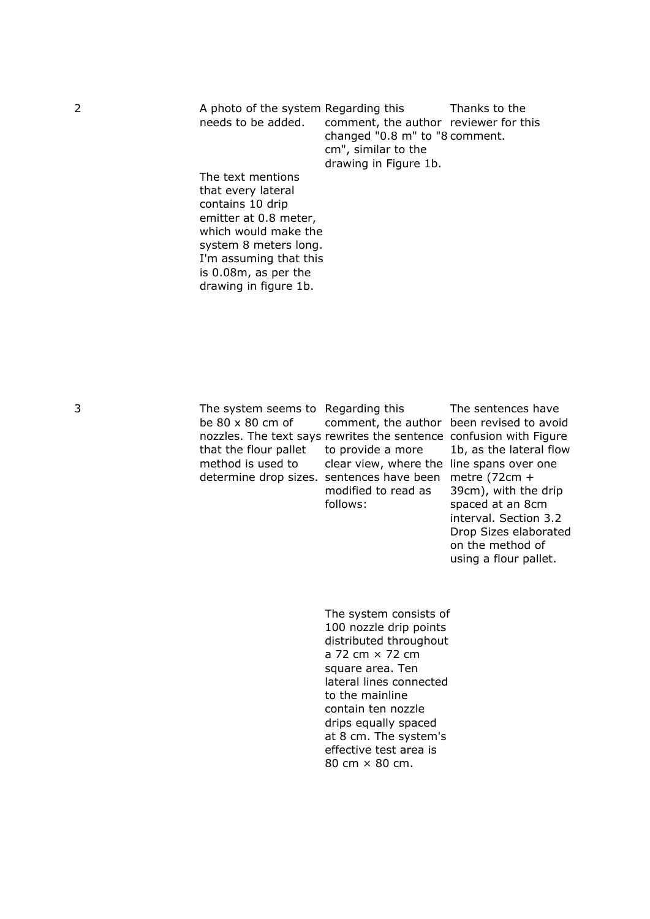2 A photo of the system Regarding this needs to be added. The text mentions comment, the author reviewer for this changed "0.8 m" to "8 comment. cm", similar to the drawing in Figure 1b. Thanks to the

that every lateral contains 10 drip emitter at 0.8 meter, which would make the system 8 meters long. I'm assuming that this is 0.08m, as per the drawing in figure 1b.

3 The system seems to Regarding this be 80 x 80 cm of nozzles. The text says rewrites the sentence confusion with Figure that the flour pallet method is used to determine drop sizes. sentences have been metre (72cm +

comment, the author been revised to avoid to provide a more clear view, where the line spans over one modified to read as follows:

The sentences have 1b, as the lateral flow 39cm), with the drip spaced at an 8cm interval. Section 3.2 Drop Sizes elaborated on the method of using a flour pallet.

The system consists of 100 nozzle drip points distributed throughout a 72 cm × 72 cm square area. Ten lateral lines connected to the mainline contain ten nozzle drips equally spaced at 8 cm. The system's effective test area is 80 cm × 80 cm.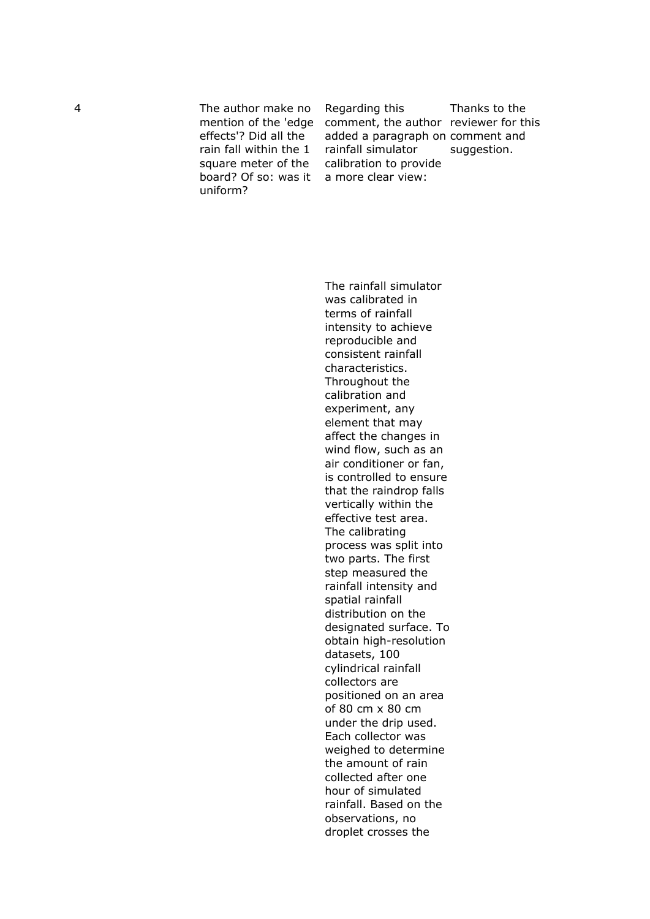4 The author make no effects'? Did all the rain fall within the 1 square meter of the board? Of so: was it uniform?

mention of the 'edge comment, the author reviewer for this Regarding this added a paragraph on comment and rainfall simulator calibration to provide a more clear view:

Thanks to the suggestion.

The rainfall simulator was calibrated in terms of rainfall intensity to achieve reproducible and consistent rainfall characteristics. Throughout the calibration and experiment, any element that may affect the changes in wind flow, such as an air conditioner or fan, is controlled to ensure that the raindrop falls vertically within the effective test area. The calibrating process was split into two parts. The first step measured the rainfall intensity and spatial rainfall distribution on the designated surface. To obtain high-resolution datasets, 100 cylindrical rainfall collectors are positioned on an area of 80 cm x 80 cm under the drip used. Each collector was weighed to determine the amount of rain collected after one hour of simulated rainfall. Based on the observations, no droplet crosses the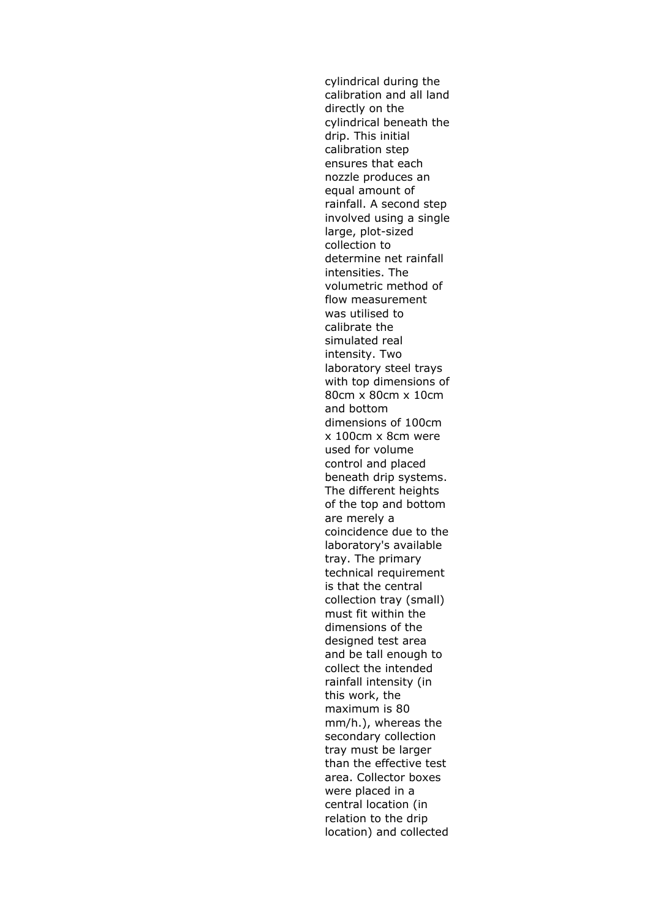cylindrical during the calibration and all land directly on the cylindrical beneath the drip. This initial calibration step ensures that each nozzle produces an equal amount of rainfall. A second step involved using a single large, plot-sized collection to determine net rainfall intensities. The volumetric method of flow measurement was utilised to calibrate the simulated real intensity. Two laboratory steel trays with top dimensions of 80cm x 80cm x 10cm and bottom dimensions of 100cm x 100cm x 8cm were used for volume control and placed beneath drip systems. The different heights of the top and bottom are merely a coincidence due to the laboratory's available tray. The primary technical requirement is that the central collection tray (small) must fit within the dimensions of the designed test area and be tall enough to collect the intended rainfall intensity (in this work, the maximum is 80 mm/h.), whereas the secondary collection tray must be larger than the effective test area. Collector boxes were placed in a central location (in relation to the drip location) and collected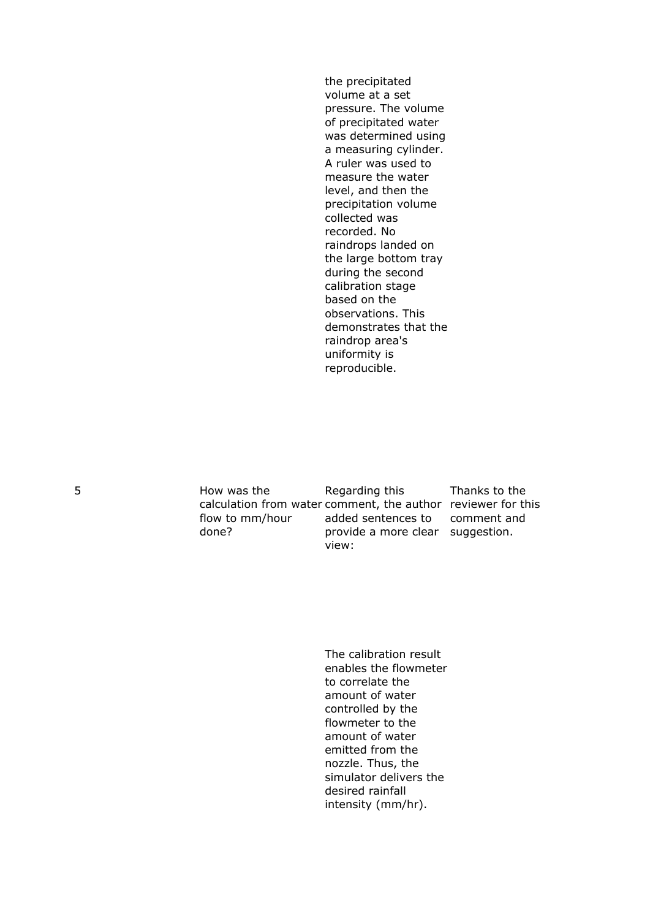the precipitated volume at a set pressure. The volume of precipitated water was determined using a measuring cylinder. A ruler was used to measure the water level, and then the precipitation volume collected was recorded. No raindrops landed on the large bottom tray during the second calibration stage based on the observations. This demonstrates that the raindrop area's uniformity is reproducible.

5 How was the calculation from water comment, the author reviewer for this flow to mm/hour done? Regarding this added sentences to provide a more clear suggestion.view: Thanks to the comment and

> The calibration result enables the flowmeter to correlate the amount of water controlled by the flowmeter to the amount of water emitted from the nozzle. Thus, the simulator delivers the desired rainfall intensity (mm/hr).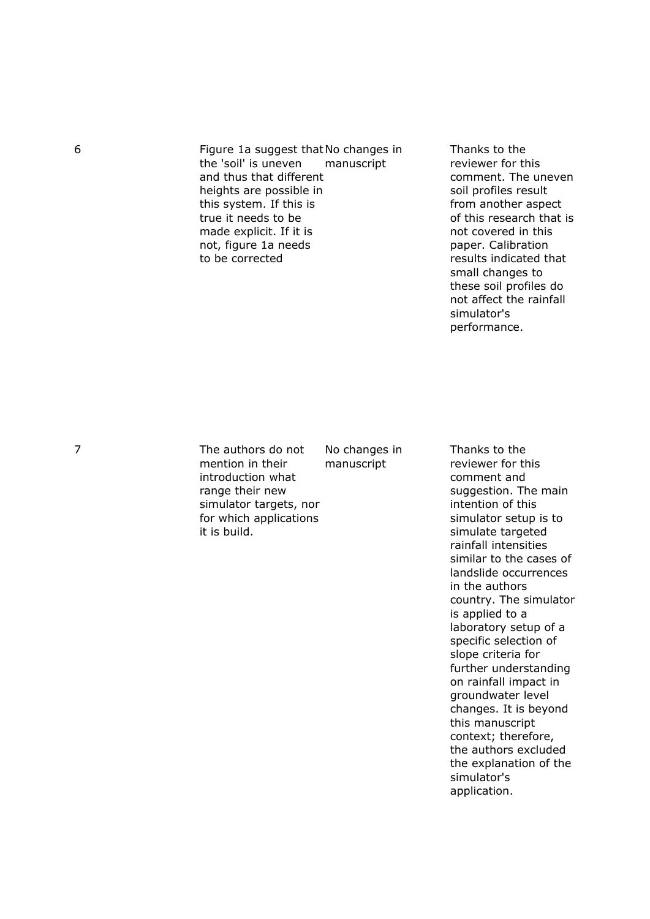6 Figure 1a suggest that No changes in the 'soil' is uneven and thus that different heights are possible in this system. If this is true it needs to be made explicit. If it is not, figure 1a needs to be corrected manuscript

Thanks to the reviewer for this comment. The uneven soil profiles result from another aspect of this research that is not covered in this paper. Calibration results indicated that small changes to these soil profiles do not affect the rainfall simulator's performance.

7 The authors do not mention in their introduction what range their new simulator targets, nor for which applications it is build.

No changes in manuscript

Thanks to the reviewer for this comment and suggestion. The main intention of this simulator setup is to simulate targeted rainfall intensities similar to the cases of landslide occurrences in the authors country. The simulator is applied to a laboratory setup of a specific selection of slope criteria for further understanding on rainfall impact in groundwater level changes. It is beyond this manuscript context; therefore, the authors excluded the explanation of the simulator's application.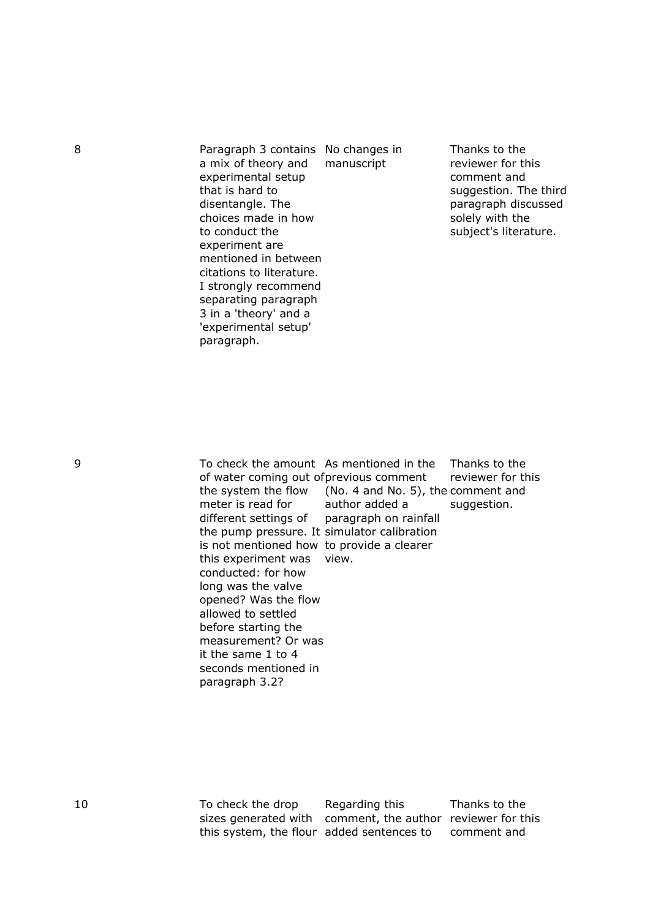8 Paragraph 3 contains No changes in a mix of theory and experimental setup that is hard to disentangle. The choices made in how to conduct the experiment are mentioned in between citations to literature. I strongly recommend separating paragraph 3 in a 'theory' and a 'experimental setup' paragraph.

manuscript

Thanks to the reviewer for this comment and suggestion. The third paragraph discussed solely with the subject's literature.

9 To check the amount As mentioned in the of water coming out of previous comment the system the flow meter is read for different settings of the pump pressure. It simulator calibration is not mentioned how to provide a clearer this experiment was view. conducted: for how long was the valve opened? Was the flow allowed to settled before starting the measurement? Or was it the same 1 to 4 seconds mentioned in paragraph 3.2? (No. 4 and No. 5), the comment and author added a paragraph on rainfall

Thanks to the reviewer for this suggestion.

10 To check the drop sizes generated with comment, the author reviewer for this this system, the flour added sentences to

Regarding this

Thanks to the comment and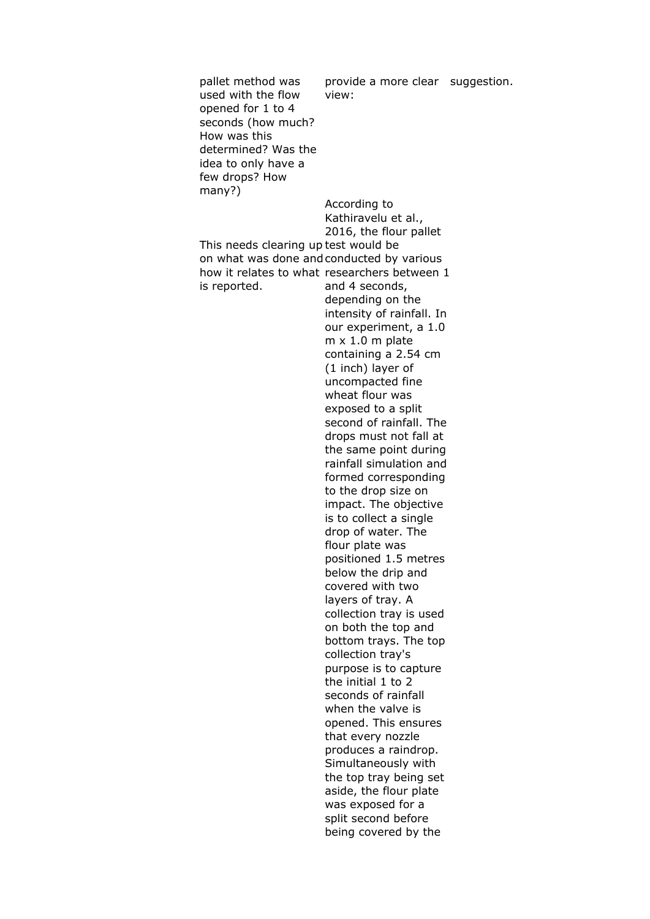pallet method was used with the flow opened for 1 to 4 seconds (how much? How was this determined? Was the idea to only have a few drops? How many?) This needs clearing up test would be on what was done and conducted by various how it relates to what researchers between 1 is reported. provide a more clear suggestion.view: According to Kathiravelu et al., 2016, the flour pallet and 4 seconds, depending on the intensity of rainfall. In our experiment, a 1.0 m x 1.0 m plate containing a 2.54 cm (1 inch) layer of uncompacted fine wheat flour was exposed to a split second of rainfall. The drops must not fall at the same point during rainfall simulation and formed corresponding to the drop size on impact. The objective is to collect a single drop of water. The flour plate was positioned 1.5 metres below the drip and covered with two layers of tray. A collection tray is used on both the top and bottom trays. The top collection tray's purpose is to capture the initial 1 to 2 seconds of rainfall when the valve is opened. This ensures that every nozzle produces a raindrop. Simultaneously with the top tray being set aside, the flour plate was exposed for a split second before being covered by the